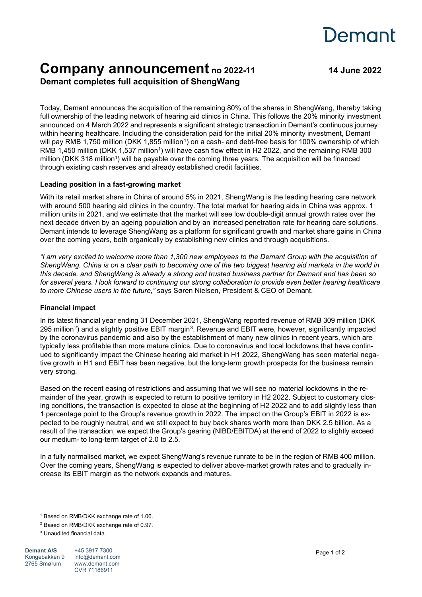# Demant

# **Company announcement no 2022-11 <sup>14</sup> June <sup>2022</sup> Demant completes full acquisition of ShengWang**

Today, Demant announces the acquisition of the remaining 80% of the shares in ShengWang, thereby taking full ownership of the leading network of hearing aid clinics in China. This follows the 20% minority investment announced on 4 March 2022 and represents a significant strategic transaction in Demant's continuous journey within hearing healthcare. Including the consideration paid for the initial 20% minority investment, Demant will pay RMB [1](#page-0-0),750 million (DKK 1,855 million<sup>1</sup>) on a cash- and debt-free basis for 100% ownership of which RMB 1,450 million (DKK 1,537 million<sup>1</sup>) will have cash flow effect in H2 2022, and the remaining RMB 300 million (DKK 318 million<sup>1</sup>) will be payable over the coming three years. The acquisition will be financed through existing cash reserves and already established credit facilities.

## **Leading position in a fast-growing market**

With its retail market share in China of around 5% in 2021, ShengWang is the leading hearing care network with around 500 hearing aid clinics in the country. The total market for hearing aids in China was approx. 1 million units in 2021, and we estimate that the market will see low double-digit annual growth rates over the next decade driven by an ageing population and by an increased penetration rate for hearing care solutions. Demant intends to leverage ShengWang as a platform for significant growth and market share gains in China over the coming years, both organically by establishing new clinics and through acquisitions.

*"I am very excited to welcome more than 1,300 new employees to the Demant Group with the acquisition of ShengWang. China is on a clear path to becoming one of the two biggest hearing aid markets in the world in this decade, and ShengWang is already a strong and trusted business partner for Demant and has been so for several years. I look forward to continuing our strong collaboration to provide even better hearing healthcare to more Chinese users in the future,"* says Søren Nielsen, President & CEO of Demant.

### **Financial impact**

In its latest financial year ending 31 December 2021, ShengWang reported revenue of RMB 309 million (DKK 295 million<sup>2</sup>) and a slightly positive EBIT margin<sup>[3](#page-0-2)</sup>. Revenue and EBIT were, however, significantly impacted by the coronavirus pandemic and also by the establishment of many new clinics in recent years, which are typically less profitable than more mature clinics. Due to coronavirus and local lockdowns that have continued to significantly impact the Chinese hearing aid market in H1 2022, ShengWang has seen material negative growth in H1 and EBIT has been negative, but the long-term growth prospects for the business remain very strong.

Based on the recent easing of restrictions and assuming that we will see no material lockdowns in the remainder of the year, growth is expected to return to positive territory in H2 2022. Subject to customary closing conditions, the transaction is expected to close at the beginning of H2 2022 and to add slightly less than 1 percentage point to the Group's revenue growth in 2022. The impact on the Group's EBIT in 2022 is expected to be roughly neutral, and we still expect to buy back shares worth more than DKK 2.5 billion. As a result of the transaction, we expect the Group's gearing (NIBD/EBITDA) at the end of 2022 to slightly exceed our medium- to long-term target of 2.0 to 2.5.

In a fully normalised market, we expect ShengWang's revenue runrate to be in the region of RMB 400 million. Over the coming years, ShengWang is expected to deliver above-market growth rates and to gradually increase its EBIT margin as the network expands and matures.

<span id="page-0-0"></span><sup>1</sup> Based on RMB/DKK exchange rate of 1.06.

<span id="page-0-1"></span><sup>2</sup> Based on RMB/DKK exchange rate of 0.97.

<span id="page-0-2"></span><sup>3</sup> Unaudited financial data.